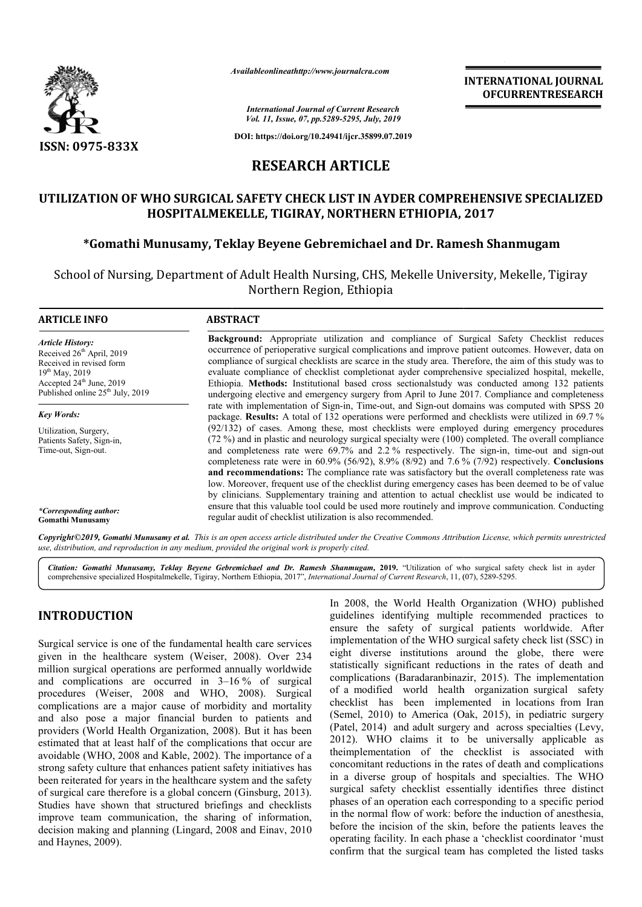

*Availableonlineathttp://www.journal Availableonlineathttp://www.journalcra.com*

**INTERNATIONAL JOURNAL OFCURRENTRESEARCH**

*International Journal of Current Research Vol. 11, Issue, 07, pp.5289-5295, July, 2019*

**DOI: https://doi.org/10.24941/ijcr.35899.07.2019**

# **RESEARCH ARTICLE**

# UTILIZATION OF WHO SURGICAL SAFETY CHECK LIST IN AYDER COMPREHENSIVE SPECIALIZED **HOSPITALMEKELLE, TIGIRAY, NORTHERN ETHIOPIA, 2017 MEKELLE,**

## **\*Gomathi Munusamy, Teklay Beyene Gebremichael and Dr. Ramesh Shanmugam**

School of Nursing, Department of Adult Health Nursing, CHS, Mekelle University, Mekelle, Tigiray Northern Region, Ethiopia

| <b>ARTICLE INFO</b>                                                                                                                                                                               | <b>ABSTRACT</b>                                                                                                                                                                                                                                                                                                                                                                                                                                                                                                                                                                                                      |  |  |  |  |
|---------------------------------------------------------------------------------------------------------------------------------------------------------------------------------------------------|----------------------------------------------------------------------------------------------------------------------------------------------------------------------------------------------------------------------------------------------------------------------------------------------------------------------------------------------------------------------------------------------------------------------------------------------------------------------------------------------------------------------------------------------------------------------------------------------------------------------|--|--|--|--|
| <b>Article History:</b><br>Received 26 <sup>th</sup> April, 2019<br>Received in revised form<br>$19^{th}$ May, 2019<br>Accepted $24th$ June, 2019<br>Published online 25 <sup>th</sup> July, 2019 | <b>Background:</b> Appropriate utilization and compliance of Surgical Safety Checklist reduces<br>occurrence of perioperative surgical complications and improve patient outcomes. However, data on<br>compliance of surgical checklists are scarce in the study area. Therefore, the aim of this study was to<br>evaluate compliance of checklist completionat ayder comprehensive specialized hospital, mekelle,<br>Ethiopia. Methods: Institutional based cross sectionalstudy was conducted among 132 patients<br>undergoing elective and emergency surgery from April to June 2017. Compliance and completeness |  |  |  |  |
| <b>Key Words:</b>                                                                                                                                                                                 | rate with implementation of Sign-in, Time-out, and Sign-out domains was computed with SPSS 20<br>package. Results: A total of 132 operations were performed and checklists were utilized in 69.7%                                                                                                                                                                                                                                                                                                                                                                                                                    |  |  |  |  |
| Utilization, Surgery,<br>Patients Safety, Sign-in.<br>Time-out, Sign-out.                                                                                                                         | $(92/132)$ of cases. Among these, most checklists were employed during emergency procedures<br>(72 %) and in plastic and neurology surgical specialty were (100) completed. The overall compliance<br>and completeness rate were 69.7% and 2.2% respectively. The sign-in, time-out and sign-out<br>completeness rate were in 60.9% (56/92), 8.9% (8/92) and 7.6 % (7/92) respectively. Conclusions<br>and recommendations: The compliance rate was satisfactory but the overall completeness rate was<br>low. Moreover, frequent use of the checklist during emergency cases has been deemed to be of value         |  |  |  |  |
| *Corresponding author:<br><b>Gomathi Munusamy</b>                                                                                                                                                 | by clinicians. Supplementary training and attention to actual checklist use would be indicated to<br>ensure that this valuable tool could be used more routinely and improve communication. Conducting<br>regular audit of checklist utilization is also recommended.                                                                                                                                                                                                                                                                                                                                                |  |  |  |  |

Copyright©2019, Gomathi Munusamy et al. This is an open access article distributed under the Creative Commons Attribution License, which permits unrestrictea *use, distribution, and reproduction in any medium, provided the original work is properly cited.*

Citation: Gomathi Munusamy, Teklay Beyene Gebremichael and Dr. Ramesh Shanmugam, 2019. "Utilization of who surgical safety check list in ayder<br>comprehensive specialized Hospitalmekelle, Tigiray, Northern Ethiopia, 2017", I comprehensive specialized Hospitalmekelle, Tigiray, Northern Ethiopia, 2017", *International Journal of Current Research*, 11, (

# **INTRODUCTION**

Surgical service is one of the fundamental health care services given in the healthcare system (Weiser, 2008 , 2008). Over 234 million surgical operations are performed annually worldwide and complications are occurred in 3–16 16 % of surgical procedures (Weiser, 2008 and WHO, 2008 , 2008). Surgical complications are a major cause of morbidity and mortality and also pose a major financial burden to patients and providers (World Health Organization, 2008). But it has been estimated that at least half of the complications that occur are avoidable (WHO, 2008 and Kable, 2002). The importance of a strong safety culture that enhances patient safety initiatives has been reiterated for years in the healthcare system and the safety of surgical care therefore is a global concern (Ginsburg, 2013). Studies have shown that structured briefings and checklists improve team communication, the sharing of information, decision making and planning (Lingard, 2008 and Einav, 2010 and Haynes, 2009). morbidity and mortality<br>burden to patients and<br>, 2008). But it has been In 2008, the World Health Organization (WHO) published guidelines identifying multiple recommended practices to ensure the safety of surgical patients worldwide. After implementation of the WHO surgical safety check list (SSC) in eight diverse institutions around the globe, there were statistically significant reductions in the rates of death and complications (Baradaranbinazir, 2015). The implementation of a modified world health organization surgical safety of a modified world health organization surgical safety<br>checklist has been implemented in locations from Iran (Semel, 2010) to America (Oak, 2015), in pediatric surgery (Patel, 2014) and adult surgery and across specialties (Levy, 2012). WHO claims it to be universally applicable as theimplementation of the checklist is associated with concomitant reductions in the rates of death and complications in a diverse group of hospitals and specialties. The WH surgical safety checklist essentially identifies three distinct phases of an operation each corresponding to a specific period in the normal flow of work: before the induction of anesthesia, before the incision of the skin, before the patients leaves the operating facility. In each phase a 'checklist coordinator 'must confirm that the surgical team has completed the listed tasks theimplementation of the checklist is associated with concomitant reductions in the rates of death and complications in a diverse group of hospitals and specialties. The WHO **INTERNATIONAL JOURNAL FORM CONTROL SET (S692) 2014**<br> **INTERNATIONAL JOURNAL CONTROL CONTROL CONTROL CONTROL CONTROL CONTROL CONTROL CONTROL CONTROLLER ST IN AYDER COMPREHENSIVE SPECIALIZED SPT INTERNATION THE SURVEY (SET**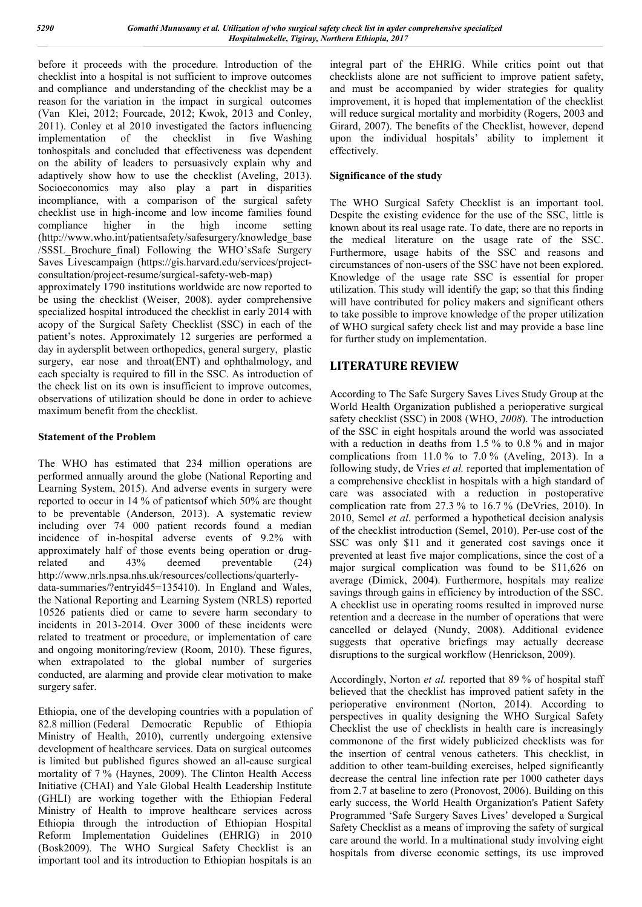before it proceeds with the procedure. Introduction of the checklist into a hospital is not sufficient to improve outcomes and compliance and understanding of the checklist may be a reason for the variation in the impact in surgical outcomes (Van Klei, 2012; Fourcade, 2012; Kwok, 2013 and Conley, 2011). Conley et al 2010 investigated the factors influencing implementation of the checklist in five Washing tonhospitals and concluded that effectiveness was dependent on the ability of leaders to persuasively explain why and adaptively show how to use the checklist (Aveling, 2013). Socioeconomics may also play a part in disparities incompliance, with a comparison of the surgical safety checklist use in high-income and low income families found compliance higher in the high income setting (http://www.who.int/patientsafety/safesurgery/knowledge\_base /SSSL\_Brochure\_final) Following the WHO'sSafe Surgery Saves Livescampaign (https://gis.harvard.edu/services/projectconsultation/project-resume/surgical-safety-web-map)

approximately 1790 institutions worldwide are now reported to be using the checklist (Weiser, 2008). ayder comprehensive specialized hospital introduced the checklist in early 2014 with acopy of the Surgical Safety Checklist (SSC) in each of the patient's notes. Approximately 12 surgeries are performed a day in aydersplit between orthopedics, general surgery, plastic surgery, ear nose and throat(ENT) and ophthalmology, and each specialty is required to fill in the SSC. As introduction of the check list on its own is insufficient to improve outcomes, observations of utilization should be done in order to achieve maximum benefit from the checklist.

## **Statement of the Problem**

The WHO has estimated that 234 million operations are performed annually around the globe (National Reporting and Learning System, 2015). And adverse events in surgery were reported to occur in 14 % of patientsof which 50% are thought to be preventable (Anderson, 2013). A systematic review including over 74 000 patient records found a median incidence of in-hospital adverse events of 9.2% with approximately half of those events being operation or drugrelated and 43% deemed preventable (24) http://www.nrls.npsa.nhs.uk/resources/collections/quarterlydata-summaries/?entryid45=135410). In England and Wales, the National Reporting and Learning System (NRLS) reported 10526 patients died or came to severe harm secondary to incidents in 2013-2014. Over 3000 of these incidents were related to treatment or procedure, or implementation of care and ongoing monitoring/review (Room, 2010). These figures, when extrapolated to the global number of surgeries conducted, are alarming and provide clear motivation to make surgery safer.

Ethiopia, one of the developing countries with a population of 82.8 million (Federal Democratic Republic of Ethiopia Ministry of Health, 2010), currently undergoing extensive development of healthcare services. Data on surgical outcomes is limited but published figures showed an all-cause surgical mortality of 7 % (Haynes, 2009). The Clinton Health Access Initiative (CHAI) and Yale Global Health Leadership Institute (GHLI) are working together with the Ethiopian Federal Ministry of Health to improve healthcare services across Ethiopia through the introduction of Ethiopian Hospital Reform Implementation Guidelines (EHRIG) in 2010 (Bosk2009). The WHO Surgical Safety Checklist is an important tool and its introduction to Ethiopian hospitals is an

integral part of the EHRIG. While critics point out that checklists alone are not sufficient to improve patient safety, and must be accompanied by wider strategies for quality improvement, it is hoped that implementation of the checklist will reduce surgical mortality and morbidity (Rogers, 2003 and Girard, 2007). The benefits of the Checklist, however, depend upon the individual hospitals' ability to implement it effectively.

## **Significance of the study**

The WHO Surgical Safety Checklist is an important tool. Despite the existing evidence for the use of the SSC, little is known about its real usage rate. To date, there are no reports in the medical literature on the usage rate of the SSC. Furthermore, usage habits of the SSC and reasons and circumstances of non-users of the SSC have not been explored. Knowledge of the usage rate SSC is essential for proper utilization. This study will identify the gap; so that this finding will have contributed for policy makers and significant others to take possible to improve knowledge of the proper utilization of WHO surgical safety check list and may provide a base line for further study on implementation.

## **LITERATURE REVIEW**

According to The Safe Surgery Saves Lives Study Group at the World Health Organization published a perioperative surgical safety checklist (SSC) in 2008 (WHO, *2008*). The introduction of the SSC in eight hospitals around the world was associated with a reduction in deaths from 1.5 % to 0.8 % and in major complications from  $11.0\%$  to  $7.0\%$  (Aveling, 2013). In a following study, de Vries *et al.* reported that implementation of a comprehensive checklist in hospitals with a high standard of care was associated with a reduction in postoperative complication rate from 27.3 % to 16.7 % (DeVries, 2010). In 2010, Semel *et al.* performed a hypothetical decision analysis of the checklist introduction (Semel, 2010). Per-use cost of the SSC was only \$11 and it generated cost savings once it prevented at least five major complications, since the cost of a major surgical complication was found to be \$11,626 on average (Dimick, 2004). Furthermore, hospitals may realize savings through gains in efficiency by introduction of the SSC. A checklist use in operating rooms resulted in improved nurse retention and a decrease in the number of operations that were cancelled or delayed (Nundy, 2008). Additional evidence suggests that operative briefings may actually decrease disruptions to the surgical workflow (Henrickson, 2009).

Accordingly, Norton *et al.* reported that 89 % of hospital staff believed that the checklist has improved patient safety in the perioperative environment (Norton, 2014). According to perspectives in quality designing the WHO Surgical Safety Checklist the use of checklists in health care is increasingly commonone of the first widely publicized checklists was for the insertion of central venous catheters. This checklist, in addition to other team-building exercises, helped significantly decrease the central line infection rate per 1000 catheter days from 2.7 at baseline to zero (Pronovost, 2006). Building on this early success, the World Health Organization's Patient Safety Programmed 'Safe Surgery Saves Lives' developed a Surgical Safety Checklist as a means of improving the safety of surgical care around the world. In a multinational study involving eight hospitals from diverse economic settings, its use improved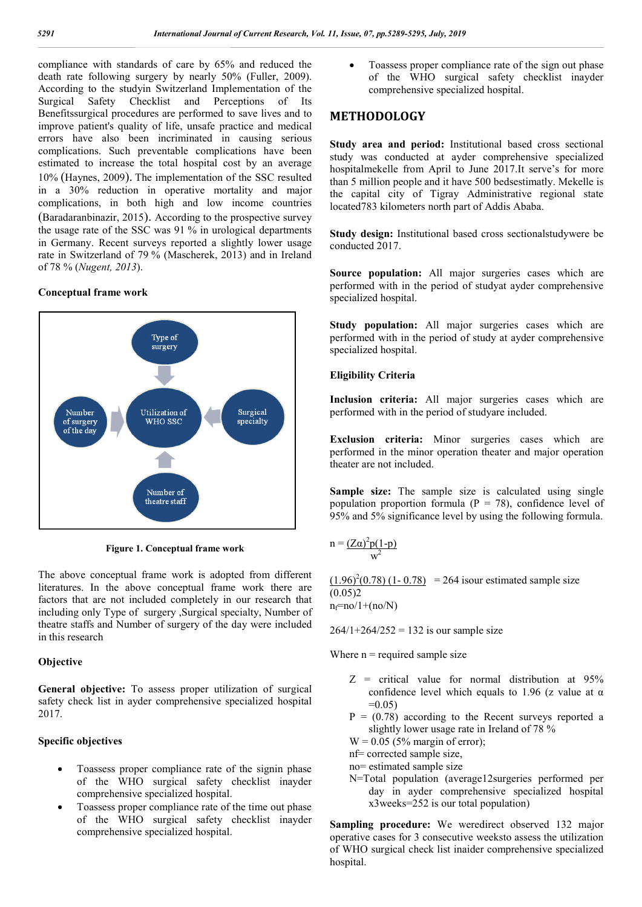compliance with standards of care by 65% and reduced the death rate following surgery by nearly 50% (Fuller, 2009). According to the studyin Switzerland Implementation of the Surgical Safety Checklist and Perceptions of Its Benefitssurgical procedures are performed to save lives and to improve patient's quality of life, unsafe practice and medical errors have also been incriminated in causing serious complications. Such preventable complications have been estimated to increase the total hospital cost by an average 10% (Haynes, 2009). The implementation of the SSC resulted in a 30% reduction in operative mortality and major complications, in both high and low income countries (Baradaranbinazir, 2015). According to the prospective survey the usage rate of the SSC was 91 % in urological departments in Germany. Recent surveys reported a slightly lower usage rate in Switzerland of 79 % (Mascherek, 2013) and in Ireland of 78 % (*Nugent, 2013*).

#### **Conceptual frame work**



**Figure 1. Conceptual frame work**

The above conceptual frame work is adopted from different literatures. In the above conceptual frame work there are factors that are not included completely in our research that including only Type of surgery ,Surgical specialty, Number of theatre staffs and Number of surgery of the day were included in this research

#### **Objective**

**General objective:** To assess proper utilization of surgical safety check list in ayder comprehensive specialized hospital 2017.

#### **Specific objectives**

- Toassess proper compliance rate of the signin phase of the WHO surgical safety checklist inayder comprehensive specialized hospital.
- Toassess proper compliance rate of the time out phase of the WHO surgical safety checklist inayder comprehensive specialized hospital.

 Toassess proper compliance rate of the sign out phase of the WHO surgical safety checklist inayder comprehensive specialized hospital.

## **METHODOLOGY**

**Study area and period:** Institutional based cross sectional study was conducted at ayder comprehensive specialized hospitalmekelle from April to June 2017.It serve's for more than 5 million people and it have 500 bedsestimatly. Mekelle is the capital city of Tigray Administrative regional state located783 kilometers north part of Addis Ababa.

**Study design:** Institutional based cross sectionalstudywere be conducted 2017.

**Source population:** All major surgeries cases which are performed with in the period of studyat ayder comprehensive specialized hospital.

**Study population:** All major surgeries cases which are performed with in the period of study at ayder comprehensive specialized hospital.

#### **Eligibility Criteria**

**Inclusion criteria:** All major surgeries cases which are performed with in the period of studyare included.

**Exclusion criteria:** Minor surgeries cases which are performed in the minor operation theater and major operation theater are not included.

**Sample size:** The sample size is calculated using single population proportion formula ( $P = 78$ ), confidence level of 95% and 5% significance level by using the following formula.

$$
n = \frac{(Z\alpha)^2 p(1-p)}{w^2}
$$

 $(1.96)^2(0.78)$  (1-0.78) = 264 isour estimated sample size  $(0.05)2$  $n_f=no/1+(no/N)$ 

 $264/1+264/252 = 132$  is our sample size

Where  $n =$  required sample size

- $Z =$  critical value for normal distribution at  $95\%$ confidence level which equals to 1.96 (z value at  $\alpha$ )  $=0.05$
- $P = (0.78)$  according to the Recent surveys reported a slightly lower usage rate in Ireland of 78 %
- $W = 0.05$  (5% margin of error);
- nf= corrected sample size,
- no= estimated sample size
- N=Total population (average12surgeries performed per day in ayder comprehensive specialized hospital x3weeks=252 is our total population)

Sampling procedure: We weredirect observed 132 major operative cases for 3 consecutive weeksto assess the utilization of WHO surgical check list inaider comprehensive specialized hospital.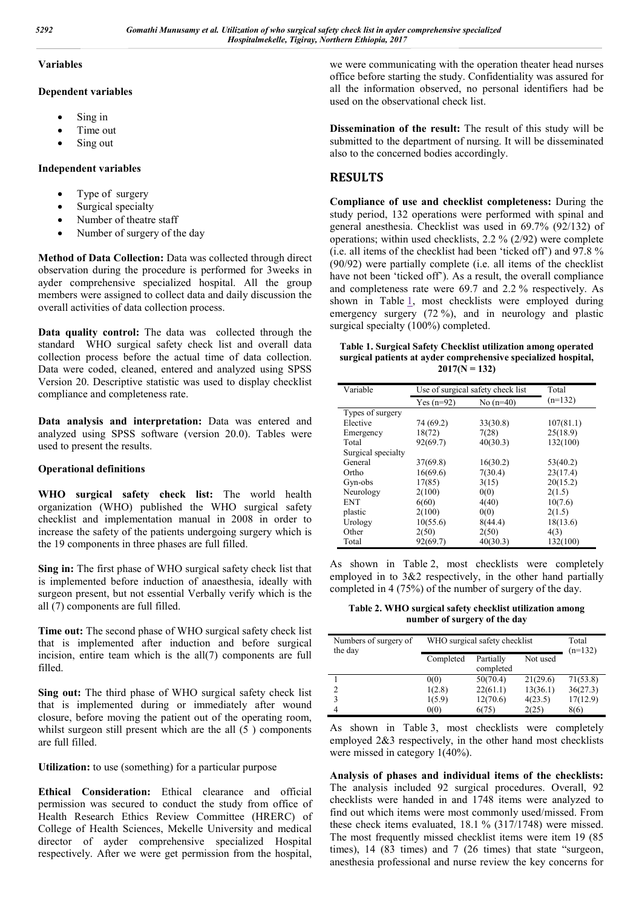#### **Variables**

#### **Dependent variables**

- Sing in
- Time out
- Sing out

### **Independent variables**

- Type of surgery
- Surgical specialty
- Number of theatre staff
- Number of surgery of the day

**Method of Data Collection:** Data was collected through direct observation during the procedure is performed for 3weeks in ayder comprehensive specialized hospital. All the group members were assigned to collect data and daily discussion the overall activities of data collection process.

**Data quality control:** The data was collected through the standard WHO surgical safety check list and overall data collection process before the actual time of data collection. Data were coded, cleaned, entered and analyzed using SPSS Version 20. Descriptive statistic was used to display checklist compliance and completeness rate.

**Data analysis and interpretation:** Data was entered and analyzed using SPSS software (version 20.0). Tables were used to present the results.

#### **Operational definitions**

**WHO surgical safety check list:** The world health organization (WHO) published the WHO surgical safety checklist and implementation manual in 2008 in order to increase the safety of the patients undergoing surgery which is the 19 components in three phases are full filled.

**Sing in:** The first phase of WHO surgical safety check list that is implemented before induction of anaesthesia, ideally with surgeon present, but not essential Verbally verify which is the all (7) components are full filled.

**Time out:** The second phase of WHO surgical safety check list that is implemented after induction and before surgical incision, entire team which is the all(7) components are full filled.

**Sing out:** The third phase of WHO surgical safety check list that is implemented during or immediately after wound closure, before moving the patient out of the operating room, whilst surgeon still present which are the all  $(5)$  components are full filled.

**Utilization:** to use (something) for a particular purpose

**Ethical Consideration:** Ethical clearance and official permission was secured to conduct the study from office of Health Research Ethics Review Committee (HRERC) of College of Health Sciences, Mekelle University and medical director of ayder comprehensive specialized Hospital respectively. After we were get permission from the hospital,

we were communicating with the operation theater head nurses office before starting the study. Confidentiality was assured for all the information observed, no personal identifiers had be used on the observational check list.

**Dissemination of the result:** The result of this study will be submitted to the department of nursing. It will be disseminated also to the concerned bodies accordingly.

# **RESULTS**

**Compliance of use and checklist completeness:** During the study period, 132 operations were performed with spinal and general anesthesia. Checklist was used in 69.7% (92/132) of operations; within used checklists, 2.2 % (2/92) were complete (i.e. all items of the checklist had been 'ticked off') and 97.8 % (90/92) were partially complete (i.e. all items of the checklist have not been 'ticked off'). As a result, the overall compliance and completeness rate were 69.7 and 2.2 % respectively. As shown in Table 1, most checklists were employed during emergency surgery (72 %), and in neurology and plastic surgical specialty (100%) completed.

**Table 1. Surgical Safety Checklist utilization among operated surgical patients at ayder comprehensive specialized hospital, 2017(N = 132)**

| Variable           |              | Use of surgical safety check list |           |  |  |
|--------------------|--------------|-----------------------------------|-----------|--|--|
|                    | $Yes (n=92)$ | No $(n=40)$                       | $(n=132)$ |  |  |
| Types of surgery   |              |                                   |           |  |  |
| Elective           | 74 (69.2)    | 33(30.8)                          | 107(81.1) |  |  |
| Emergency          | 18(72)       | 7(28)                             | 25(18.9)  |  |  |
| Total              | 92(69.7)     | 40(30.3)                          | 132(100)  |  |  |
| Surgical specialty |              |                                   |           |  |  |
| General            | 37(69.8)     | 16(30.2)                          | 53(40.2)  |  |  |
| Ortho              | 16(69.6)     | 7(30.4)                           | 23(17.4)  |  |  |
| Gyn-obs            | 17(85)       | 3(15)                             | 20(15.2)  |  |  |
| Neurology          | 2(100)       | 0(0)                              | 2(1.5)    |  |  |
| <b>ENT</b>         | 6(60)        | 4(40)                             | 10(7.6)   |  |  |
| plastic            | 2(100)       | 0(0)                              | 2(1.5)    |  |  |
| Urology            | 10(55.6)     | 8(44.4)                           | 18(13.6)  |  |  |
| Other              | 2(50)        | 2(50)                             | 4(3)      |  |  |
| Total              | 92(69.7)     | 40(30.3)                          | 132(100)  |  |  |

As shown in Table 2, most checklists were completely employed in to 3&2 respectively, in the other hand partially completed in 4 (75%) of the number of surgery of the day.

**Table 2. WHO surgical safety checklist utilization among number of surgery of the day**

| Numbers of surgery of<br>the day | WHO surgical safety checklist | Total<br>$(n=132)$     |          |          |
|----------------------------------|-------------------------------|------------------------|----------|----------|
|                                  | Completed                     | Partially<br>completed | Not used |          |
|                                  | 0(0)                          | 50(70.4)               | 21(29.6) | 71(53.8) |
| $\overline{c}$                   | 1(2.8)                        | 22(61.1)               | 13(36.1) | 36(27.3) |
| 3                                | 1(5.9)                        | 12(70.6)               | 4(23.5)  | 17(12.9) |
| 4                                | 0(0)                          | 6(75)                  | 2(25)    | 8(6)     |

As shown in Table 3, most checklists were completely employed 2&3 respectively, in the other hand most checklists were missed in category 1(40%).

**Analysis of phases and individual items of the checklists:**  The analysis included 92 surgical procedures. Overall, 92 checklists were handed in and 1748 items were analyzed to find out which items were most commonly used/missed. From these check items evaluated, 18.1 % (317/1748) were missed. The most frequently missed checklist items were item 19 (85 times), 14 (83 times) and 7 (26 times) that state "surgeon, anesthesia professional and nurse review the key concerns for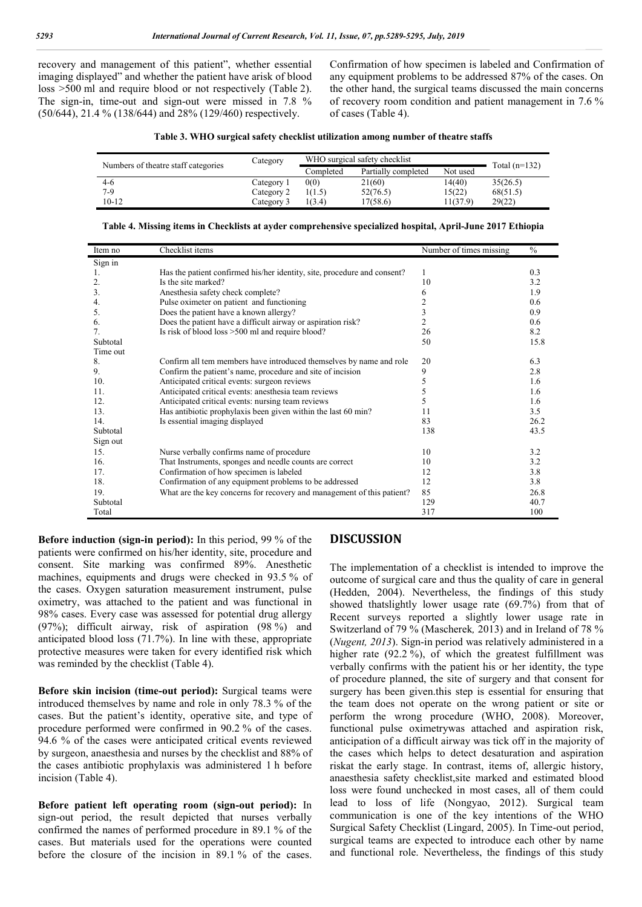recovery and management of this patient", whether essential imaging displayed" and whether the patient have arisk of blood loss >500 ml and require blood or not respectively (Table 2). The sign-in, time-out and sign-out were missed in 7.8 % (50/644), 21.4 % (138/644) and 28% (129/460) respectively.

Confirmation of how specimen is labeled and Confirmation of any equipment problems to be addressed 87% of the cases. On the other hand, the surgical teams discussed the main concerns of recovery room condition and patient management in 7.6 % of cases (Table 4).

|  |  | Table 3. WHO surgical safety checklist utilization among number of theatre staffs |  |  |
|--|--|-----------------------------------------------------------------------------------|--|--|
|  |  |                                                                                   |  |  |

| Numbers of theatre staff categories | Category   | WHO surgical safety checklist | Total $(n=132)$     |          |          |
|-------------------------------------|------------|-------------------------------|---------------------|----------|----------|
|                                     |            | Completed                     | Partially completed | Not used |          |
| $4-6$                               | Category 1 | 0(0)                          | 21(60)              | 14(40)   | 35(26.5) |
| 7-9                                 | Category 2 | 1(1.5)                        | 52(76.5)            | 15(22)   | 68(51.5) |
| 10-12                               | Category 3 | 1(3.4)                        | 17(58.6)            | 11(37.9) | 29(22)   |

| Item no  | Checklist items                                                          | Number of times missing | $\frac{0}{0}$ |
|----------|--------------------------------------------------------------------------|-------------------------|---------------|
| Sign in  |                                                                          |                         |               |
| 1.       | Has the patient confirmed his/her identity, site, procedure and consent? | 1                       | 0.3           |
| 2.       | Is the site marked?                                                      | 10                      | 3.2           |
| 3.       | Anesthesia safety check complete?                                        | 6                       | 1.9           |
| 4.       | Pulse oximeter on patient and functioning                                | 2                       | 0.6           |
| 5.       | Does the patient have a known allergy?                                   | 3                       | 0.9           |
| 6.       | Does the patient have a difficult airway or aspiration risk?             | 2                       | 0.6           |
| 7.       | Is risk of blood loss >500 ml and require blood?                         | 26                      | 8.2           |
| Subtotal |                                                                          | 50                      | 15.8          |
| Time out |                                                                          |                         |               |
| 8.       | Confirm all tem members have introduced themselves by name and role      | 20                      | 6.3           |
| 9.       | Confirm the patient's name, procedure and site of incision               | 9                       | 2.8           |
| 10.      | Anticipated critical events: surgeon reviews                             | 5                       | 1.6           |
| 11.      | Anticipated critical events: anesthesia team reviews                     |                         | 1.6           |
| 12.      | Anticipated critical events: nursing team reviews                        | 5                       | 1.6           |
| 13.      | Has antibiotic prophylaxis been given within the last 60 min?            | 11                      | 3.5           |
| 14.      | Is essential imaging displayed                                           | 83                      | 26.2          |
| Subtotal |                                                                          | 138                     | 43.5          |
| Sign out |                                                                          |                         |               |
| 15.      | Nurse verbally confirms name of procedure                                | 10                      | 3.2           |
| 16.      | That Instruments, sponges and needle counts are correct                  | 10                      | 3.2           |
| 17.      | Confirmation of how specimen is labeled                                  | 12                      | 3.8           |
| 18.      | Confirmation of any equipment problems to be addressed                   | 12                      | 3.8           |
| 19.      | What are the key concerns for recovery and management of this patient?   | 85                      | 26.8          |
| Subtotal |                                                                          | 129                     | 40.7          |
| Total    |                                                                          | 317                     | 100           |

| Table 4. Missing items in Checklists at ayder comprehensive specialized hospital, April-June 2017 Ethiopia |  |  |  |
|------------------------------------------------------------------------------------------------------------|--|--|--|
|                                                                                                            |  |  |  |

**Before induction (sign-in period):** In this period, 99 % of the patients were confirmed on his/her identity, site, procedure and consent. Site marking was confirmed 89%. Anesthetic machines, equipments and drugs were checked in 93.5 % of the cases. Oxygen saturation measurement instrument, pulse oximetry, was attached to the patient and was functional in 98% cases. Every case was assessed for potential drug allergy (97%); difficult airway, risk of aspiration (98 %) and anticipated blood loss (71.7%). In line with these, appropriate protective measures were taken for every identified risk which was reminded by the checklist (Table 4).

**Before skin incision (time-out period):** Surgical teams were introduced themselves by name and role in only 78.3 % of the cases. But the patient's identity, operative site, and type of procedure performed were confirmed in 90.2 % of the cases. 94.6 % of the cases were anticipated critical events reviewed by surgeon, anaesthesia and nurses by the checklist and 88% of the cases antibiotic prophylaxis was administered 1 h before incision (Table 4).

**Before patient left operating room (sign-out period):** In sign-out period, the result depicted that nurses verbally confirmed the names of performed procedure in 89.1 % of the cases. But materials used for the operations were counted before the closure of the incision in 89.1 % of the cases.

### **DISCUSSION**

The implementation of a checklist is intended to improve the outcome of surgical care and thus the quality of care in general (Hedden, 2004). Nevertheless, the findings of this study showed thatslightly lower usage rate (69.7%) from that of Recent surveys reported a slightly lower usage rate in Switzerland of 79 % (Mascherek*,* 2013) and in Ireland of 78 % (*Nugent, 2013*). Sign-in period was relatively administered in a higher rate  $(92.2\%)$ , of which the greatest fulfillment was verbally confirms with the patient his or her identity, the type of procedure planned, the site of surgery and that consent for surgery has been given.this step is essential for ensuring that the team does not operate on the wrong patient or site or perform the wrong procedure (WHO, 2008). Moreover, functional pulse oximetrywas attached and aspiration risk, anticipation of a difficult airway was tick off in the majority of the cases which helps to detect desaturation and aspiration riskat the early stage. In contrast, items of, allergic history, anaesthesia safety checklist,site marked and estimated blood loss were found unchecked in most cases, all of them could lead to loss of life (Nongyao, 2012). Surgical team communication is one of the key intentions of the WHO Surgical Safety Checklist (Lingard, 2005). In Time-out period, surgical teams are expected to introduce each other by name and functional role. Nevertheless, the findings of this study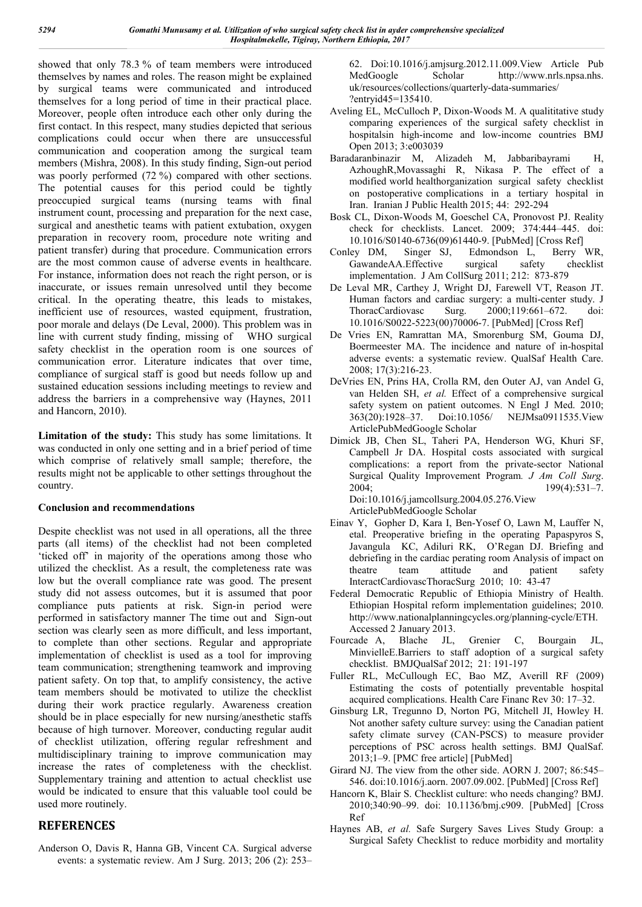showed that only 78.3 % of team members were introduced themselves by names and roles. The reason might be explained by surgical teams were communicated and introduced themselves for a long period of time in their practical place. Moreover, people often introduce each other only during the first contact. In this respect, many studies depicted that serious complications could occur when there are unsuccessful communication and cooperation among the surgical team members (Mishra, 2008). In this study finding, Sign-out period was poorly performed (72 %) compared with other sections. The potential causes for this period could be tightly preoccupied surgical teams (nursing teams with final instrument count, processing and preparation for the next case, surgical and anesthetic teams with patient extubation, oxygen preparation in recovery room, procedure note writing and patient transfer) during that procedure. Communication errors are the most common cause of adverse events in healthcare. For instance, information does not reach the right person, or is inaccurate, or issues remain unresolved until they become critical. In the operating theatre, this leads to mistakes, inefficient use of resources, wasted equipment, frustration, poor morale and delays (De Leval, 2000). This problem was in line with current study finding, missing of WHO surgical safety checklist in the operation room is one sources of communication error. Literature indicates that over time, compliance of surgical staff is good but needs follow up and sustained education sessions including meetings to review and address the barriers in a comprehensive way (Haynes, 2011 and Hancorn, 2010).

**Limitation of the study:** This study has some limitations. It was conducted in only one setting and in a brief period of time which comprise of relatively small sample; therefore, the results might not be applicable to other settings throughout the country.

#### **Conclusion and recommendations**

Despite checklist was not used in all operations, all the three parts (all items) of the checklist had not been completed 'ticked off' in majority of the operations among those who utilized the checklist. As a result, the completeness rate was low but the overall compliance rate was good. The present study did not assess outcomes, but it is assumed that poor compliance puts patients at risk. Sign-in period were performed in satisfactory manner The time out and Sign-out section was clearly seen as more difficult, and less important, to complete than other sections. Regular and appropriate implementation of checklist is used as a tool for improving team communication; strengthening teamwork and improving patient safety. On top that, to amplify consistency, the active team members should be motivated to utilize the checklist during their work practice regularly. Awareness creation should be in place especially for new nursing/anesthetic staffs because of high turnover. Moreover, conducting regular audit of checklist utilization, offering regular refreshment and multidisciplinary training to improve communication may increase the rates of completeness with the checklist. Supplementary training and attention to actual checklist use would be indicated to ensure that this valuable tool could be used more routinely.

# **REFERENCES**

Anderson O, Davis R, Hanna GB, Vincent CA. Surgical adverse events: a systematic review. Am J Surg. 2013; 206 (2): 253–

62. Doi:10.1016/j.amjsurg.2012.11.009.View Article Pub MedGoogle Scholar http://www.nrls.npsa.nhs. uk/resources/collections/quarterly-data-summaries/ ?entryid45=135410.

- Aveling EL, McCulloch P, Dixon-Woods M. A qualititative study comparing experiences of the surgical safety checklist in hospitalsin high-income and low-income countries BMJ Open 2013; 3:e003039
- Baradaranbinazir M, Alizadeh M, Jabbaribayrami H, AzhoughR,Movassaghi R, Nikasa P. The effect of a modified world healthorganization surgical safety checklist on postoperative complications in a tertiary hospital in Iran. Iranian J Public Health 2015; 44: 292-294
- Bosk CL, Dixon-Woods M, Goeschel CA, Pronovost PJ. Reality check for checklists. Lancet. 2009; 374:444–445. doi:
- 10.1016/S0140-6736(09)61440-9. [PubMed] [Cross Ref] Conley DM, Singer SJ, Edmondson L, GawandeAA.Effective surgical safety checklist implementation. J Am CollSurg 2011; 212: 873-879
- De Leval MR, Carthey J, Wright DJ, Farewell VT, Reason JT. Human factors and cardiac surgery: a multi-center study. J ThoracCardiovasc Surg. 2000;119:661–672. doi: 10.1016/S0022-5223(00)70006-7. [PubMed] [Cross Ref]
- De Vries EN, Ramrattan MA, Smorenburg SM, Gouma DJ, Boermeester MA. The incidence and nature of in-hospital adverse events: a systematic review. QualSaf Health Care. 2008; 17(3):216-23.
- DeVries EN, Prins HA, Crolla RM, den Outer AJ, van Andel G, van Helden SH, *et al.* Effect of a comprehensive surgical safety system on patient outcomes. N Engl J Med. 2010; 363(20):1928–37. Doi:10.1056/ NEJMsa0911535.View ArticlePubMedGoogle Scholar
- Dimick JB, Chen SL, Taheri PA, Henderson WG, Khuri SF, Campbell Jr DA. Hospital costs associated with surgical complications: a report from the private-sector National Surgical Quality Improvement Program*. J Am Coll Surg*. 2004; 199(4):531–7. Doi:10.1016/j.jamcollsurg.2004.05.276.View

ArticlePubMedGoogle Scholar

- Einav Y, Gopher D, Kara I, Ben-Yosef O, Lawn M, Lauffer N, etal. Preoperative briefing in the operating Papaspyros S, Javangula KC, Adiluri RK, O'Regan DJ. Briefing and debriefing in the cardiac perating room Analysis of impact on theatre team attitude and patient safety InteractCardiovascThoracSurg 2010; 10: 43-47
- Federal Democratic Republic of Ethiopia Ministry of Health. Ethiopian Hospital reform implementation guidelines; 2010. http://www.nationalplanningcycles.org/planning-cycle/ETH. Accessed 2 January 2013.
- Fourcade A, Blache JL, Grenier C, Bourgain JL, MinvielleE.Barriers to staff adoption of a surgical safety checklist. BMJQualSaf 2012; 21: 191-197
- Fuller RL, McCullough EC, Bao MZ, Averill RF (2009) Estimating the costs of potentially preventable hospital acquired complications. Health Care Financ Rev 30: 17–32.
- Ginsburg LR, Tregunno D, Norton PG, Mitchell JI, Howley H. Not another safety culture survey: using the Canadian patient safety climate survey (CAN-PSCS) to measure provider perceptions of PSC across health settings. BMJ QualSaf. 2013;1–9. [PMC free article] [PubMed]
- Girard NJ. The view from the other side. AORN J. 2007; 86:545– 546. doi:10.1016/j.aorn. 2007.09.002. [PubMed] [Cross Ref]
- Hancorn K, Blair S. Checklist culture: who needs changing? BMJ. 2010;340:90–99. doi: 10.1136/bmj.c909. [PubMed] [Cross Ref
- Haynes AB, *et al.* Safe Surgery Saves Lives Study Group: a Surgical Safety Checklist to reduce morbidity and mortality